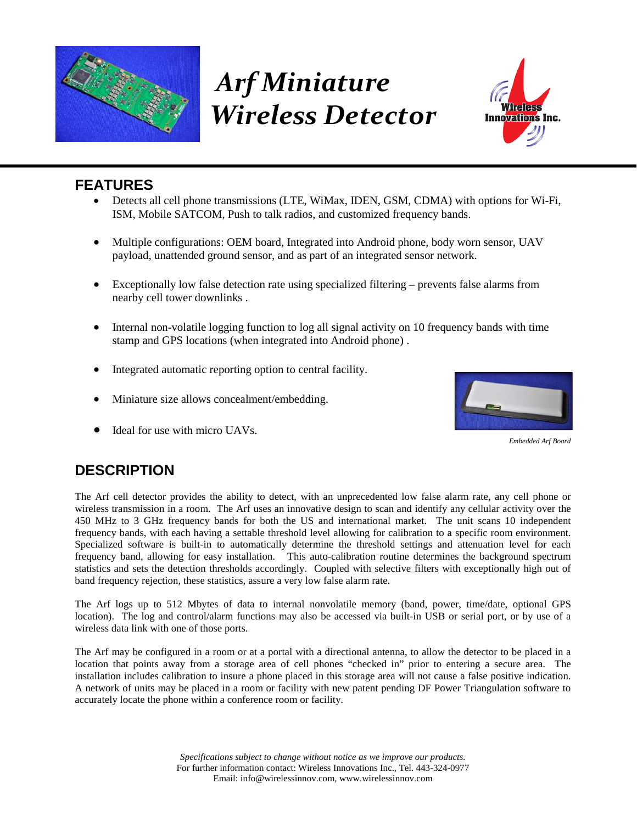

# *Arf Miniature Wireless Detector*



## **FEATURES**

- Detects all cell phone transmissions (LTE, WiMax, IDEN, GSM, CDMA) with options for Wi-Fi, ISM, Mobile SATCOM, Push to talk radios, and customized frequency bands.
- Multiple configurations: OEM board, Integrated into Android phone, body worn sensor, UAV payload, unattended ground sensor, and as part of an integrated sensor network.
- Exceptionally low false detection rate using specialized filtering prevents false alarms from nearby cell tower downlinks .
- Internal non-volatile logging function to log all signal activity on 10 frequency bands with time stamp and GPS locations (when integrated into Android phone) .
- Integrated automatic reporting option to central facility.
- Miniature size allows concealment/embedding.
- Ideal for use with micro UAVs.



*Embedded Arf Board*

## **DESCRIPTION**

The Arf cell detector provides the ability to detect, with an unprecedented low false alarm rate, any cell phone or wireless transmission in a room. The Arf uses an innovative design to scan and identify any cellular activity over the 450 MHz to 3 GHz frequency bands for both the US and international market. The unit scans 10 independent frequency bands, with each having a settable threshold level allowing for calibration to a specific room environment. Specialized software is built-in to automatically determine the threshold settings and attenuation level for each frequency band, allowing for easy installation. This auto-calibration routine determines the background spectrum statistics and sets the detection thresholds accordingly. Coupled with selective filters with exceptionally high out of band frequency rejection, these statistics, assure a very low false alarm rate.

The Arf logs up to 512 Mbytes of data to internal nonvolatile memory (band, power, time/date, optional GPS location). The log and control/alarm functions may also be accessed via built-in USB or serial port, or by use of a wireless data link with one of those ports.

The Arf may be configured in a room or at a portal with a directional antenna, to allow the detector to be placed in a location that points away from a storage area of cell phones "checked in" prior to entering a secure area. The installation includes calibration to insure a phone placed in this storage area will not cause a false positive indication. A network of units may be placed in a room or facility with new patent pending DF Power Triangulation software to accurately locate the phone within a conference room or facility.